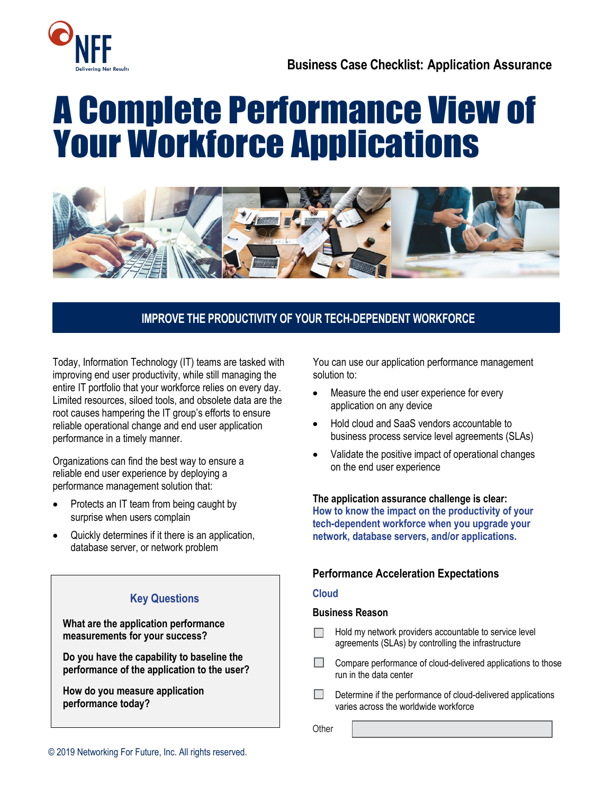

# A Complete Performance View of Your Workforce Applications



## **IMPROVE THE PRODUCTIVITY OF YOUR TECH-DEPENDENT WORKFORCE**

Today, Information Technology (IT) teams are tasked with improving end user productivity, while still managing the entire IT portfolio that your workforce relies on every day. Limited resources, siloed tools, and obsolete data are the root causes hampering the IT group's efforts to ensure reliable operational change and end user application performance in a timely manner.

Organizations can find the best way to ensure a reliable end user experience by deploying a performance management solution that:

- Protects an IT team from being caught by surprise when users complain
- Quickly determines if it there is an application, database server, or network problem

# **Key Questions What are the application performance measurements for your success? Do you have the capability to baseline the performance of the application to the user? How do you measure application performance today?**

You can use our application performance management solution to:

- Measure the end user experience for every application on any device
- Hold cloud and SaaS vendors accountable to business process service level agreements (SLAs)
- Validate the positive impact of operational changes on the end user experience

**The application assurance challenge is clear: How to know the impact on the productivity of your tech-dependent workforce when you upgrade your network, database servers, and/or applications.**

## **Performance Acceleration Expectations**

### **Cloud**

#### **Business Reason**

- Hold my network providers accountable to service level agreements (SLAs) by controlling the infrastructure
- $\Box$  Compare performance of cloud-delivered applications to those run in the data center
- П. Determine if the performance of cloud-delivered applications varies across the worldwide workforce

**Other**